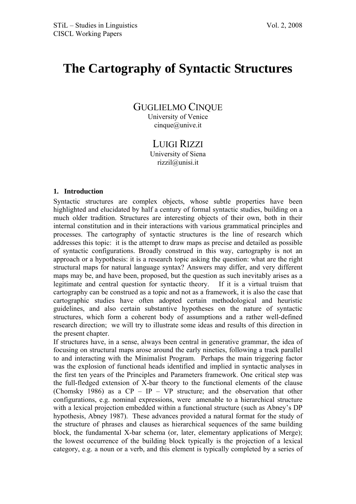# **The Cartography of Syntactic Structures**

# GUGLIELMO CINQUE

University of Venice cinque@unive.it

# LUIGI RIZZI

University of Siena rizzil@unisi.it

### **1. Introduction**

Syntactic structures are complex objects, whose subtle properties have been highlighted and elucidated by half a century of formal syntactic studies, building on a much older tradition. Structures are interesting objects of their own, both in their internal constitution and in their interactions with various grammatical principles and processes. The cartography of syntactic structures is the line of research which addresses this topic: it is the attempt to draw maps as precise and detailed as possible of syntactic configurations. Broadly construed in this way, cartography is not an approach or a hypothesis: it is a research topic asking the question: what are the right structural maps for natural language syntax? Answers may differ, and very different maps may be, and have been, proposed, but the question as such inevitably arises as a legitimate and central question for syntactic theory. If it is a virtual truism that cartography can be construed as a topic and not as a framework, it is also the case that cartographic studies have often adopted certain methodological and heuristic guidelines, and also certain substantive hypotheses on the nature of syntactic structures, which form a coherent body of assumptions and a rather well-defined research direction; we will try to illustrate some ideas and results of this direction in the present chapter.

If structures have, in a sense, always been central in generative grammar, the idea of focusing on structural maps arose around the early nineties, following a track parallel to and interacting with the Minimalist Program. Perhaps the main triggering factor was the explosion of functional heads identified and implied in syntactic analyses in the first ten years of the Principles and Parameters framework. One critical step was the full-fledged extension of X-bar theory to the functional elements of the clause (Chomsky 1986) as a CP – IP – VP structure; and the observation that other configurations, e.g. nominal expressions, were amenable to a hierarchical structure with a lexical projection embedded within a functional structure (such as Abney's DP hypothesis, Abney 1987). These advances provided a natural format for the study of the structure of phrases and clauses as hierarchical sequences of the same building block, the fundamental X-bar schema (or, later, elementary applications of Merge); the lowest occurrence of the building block typically is the projection of a lexical category, e.g. a noun or a verb, and this element is typically completed by a series of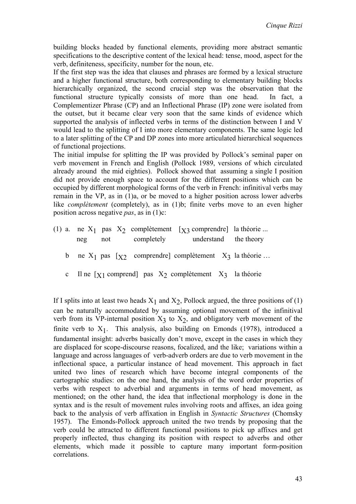building blocks headed by functional elements, providing more abstract semantic specifications to the descriptive content of the lexical head: tense, mood, aspect for the verb, definiteness, specificity, number for the noun, etc.

If the first step was the idea that clauses and phrases are formed by a lexical structure and a higher functional structure, both corresponding to elementary building blocks hierarchically organized, the second crucial step was the observation that the functional structure typically consists of more than one head. In fact, a Complementizer Phrase (CP) and an Inflectional Phrase (IP) zone were isolated from the outset, but it became clear very soon that the same kinds of evidence which supported the analysis of inflected verbs in terms of the distinction between I and V would lead to the splitting of I into more elementary components. The same logic led to a later splitting of the CP and DP zones into more articulated hierarchical sequences of functional projections.

The initial impulse for splitting the IP was provided by Pollock's seminal paper on verb movement in French and English (Pollock 1989, versions of which circulated already around the mid eighties). Pollock showed that assuming a single I position did not provide enough space to account for the different positions which can be occupied by different morphological forms of the verb in French: infinitival verbs may remain in the VP, as in (1)a, or be moved to a higher position across lower adverbs like *complètement* (completely), as in (1)b; finite verbs move to an even higher position across negative *pas*, as in (1)c:

|  |  | (1) a. ne $X_1$ pas $X_2$ complètement $[x_3$ comprendre] la théorie                               |  |  |
|--|--|----------------------------------------------------------------------------------------------------|--|--|
|  |  | neg not completely understand the theory                                                           |  |  |
|  |  | b ne $X_1$ pas $\begin{bmatrix} x_2 \\ x_3 \end{bmatrix}$ comprendre complètement $X_3$ la théorie |  |  |
|  |  | c Il ne $[x]$ comprend] pas $X_2$ complètement $X_3$ la théorie                                    |  |  |

If I splits into at least two heads  $X_1$  and  $X_2$ , Pollock argued, the three positions of (1) can be naturally accommodated by assuming optional movement of the infinitival verb from its VP-internal position  $X_3$  to  $X_2$ , and obligatory verb movement of the finite verb to  $X_1$ . This analysis, also building on Emonds (1978), introduced a fundamental insight: adverbs basically don't move, except in the cases in which they are displaced for scope-discourse reasons, focalized, and the like; variations within a language and across languages of verb-adverb orders are due to verb movement in the inflectional space, a particular instance of head movement. This approach in fact united two lines of research which have become integral components of the cartographic studies: on the one hand, the analysis of the word order properties of verbs with respect to adverbial and arguments in terms of head movement, as mentioned; on the other hand, the idea that inflectional morphology is done in the syntax and is the result of movement rules involving roots and affixes, an idea going back to the analysis of verb affixation in English in *Syntactic Structures* (Chomsky 1957). The Emonds-Pollock approach united the two trends by proposing that the verb could be attracted to different functional positions to pick up affixes and get properly inflected, thus changing its position with respect to adverbs and other elements, which made it possible to capture many important form-position correlations.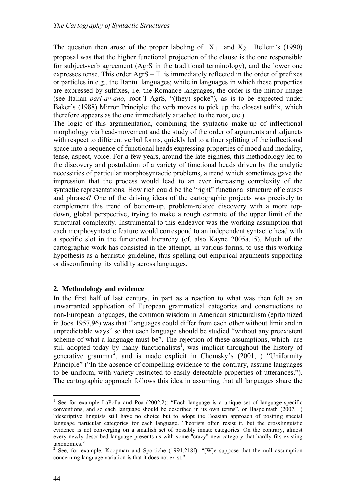The question then arose of the proper labeling of  $X_1$  and  $X_2$ . Belletti's (1990) proposal was that the higher functional projection of the clause is the one responsible for subject-verb agreement (AgrS in the traditional terminology), and the lower one expresses tense. This order  $AgrS - T$  is immediately reflected in the order of prefixes or particles in e.g., the Bantu languages; while in languages in which these properties are expressed by suffixes, i.e. the Romance languages, the order is the mirror image (see Italian *parl-av-ano*, root-T-AgrS, "(they) spoke"), as is to be expected under Baker's (1988) Mirror Principle: the verb moves to pick up the closest suffix, which therefore appears as the one immediately attached to the root, etc.).

The logic of this argumentation, combining the syntactic make-up of inflectional morphology via head-movement and the study of the order of arguments and adjuncts with respect to different verbal forms, quickly led to a finer splitting of the inflectional space into a sequence of functional heads expressing properties of mood and modality, tense, aspect, voice. For a few years, around the late eighties, this methodology led to the discovery and postulation of a variety of functional heads driven by the analytic necessities of particular morphosyntactic problems, a trend which sometimes gave the impression that the process would lead to an ever increasing complexity of the syntactic representations. How rich could be the "right" functional structure of clauses and phrases? One of the driving ideas of the cartographic projects was precisely to complement this trend of bottom-up, problem-related discovery with a more topdown, global perspective, trying to make a rough estimate of the upper limit of the structural complexity. Instrumental to this endeavor was the working assumption that each morphosyntactic feature would correspond to an independent syntactic head with a specific slot in the functional hierarchy (cf. also Kayne 2005a,15). Much of the cartographic work has consisted in the attempt, in various forms, to use this working hypothesis as a heuristic guideline, thus spelling out empirical arguments supporting or disconfirming its validity across languages.

### **2. Methodol**o**gy and evidence**

In the first half of last century, in part as a reaction to what was then felt as an unwarranted application of European grammatical categories and constructions to non-European languages, the common wisdom in American structuralism (epitomized in Joos 1957,96) was that "languages could differ from each other without limit and in unpredictable ways" so that each language should be studied "without any preexistent scheme of what a language must be". The rejection of these assumptions, which are still adopted today by many functionalists<sup>1</sup>, was implicit throughout the history of generative grammar<sup>2</sup>, and is made explicit in Chomsky's (2001, ) "Uniformity Principle" ("In the absence of compelling evidence to the contrary, assume languages to be uniform, with variety restricted to easily detectable properties of utterances."). The cartographic approach follows this idea in assuming that all languages share the

<sup>&</sup>lt;sup>1</sup> See for example LaPolla and Poa (2002,2): "Each language is a unique set of language-specific conventions, and so each language should be described in its own terms", or Haspelmath (2007, ) "descriptive linguists still have no choice but to adopt the Boasian approach of positing special language particular categories for each language. Theorists often resist it, but the crosslinguistic evidence is not converging on a smallish set of possibly innate categories. On the contrary, almost every newly described language presents us with some "crazy" new category that hardly fits existing taxonomies."

<sup>&</sup>lt;sup>2</sup> See, for example, Koopman and Sportiche (1991,218f): "[W]e suppose that the null assumption concerning language variation is that it does not exist."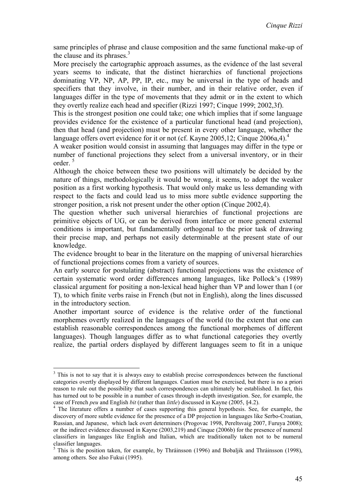same principles of phrase and clause composition and the same functional make-up of the clause and its phrases. $3$ 

More precisely the cartographic approach assumes, as the evidence of the last several years seems to indicate, that the distinct hierarchies of functional projections dominating VP, NP, AP, PP, IP, etc., may be universal in the type of heads and specifiers that they involve, in their number, and in their relative order, even if languages differ in the type of movements that they admit or in the extent to which they overtly realize each head and specifier (Rizzi 1997; Cinque 1999; 2002,3f).

This is the strongest position one could take; one which implies that if some language provides evidence for the existence of a particular functional head (and projection), then that head (and projection) must be present in every other language, whether the language offers overt evidence for it or not (cf. Kayne 2005,12; Cinque 2006a,4).<sup>4</sup>

A weaker position would consist in assuming that languages may differ in the type or number of functional projections they select from a universal inventory, or in their order. 5

Although the choice between these two positions will ultimately be decided by the nature of things, methodologically it would be wrong, it seems, to adopt the weaker position as a first working hypothesis. That would only make us less demanding with respect to the facts and could lead us to miss more subtle evidence supporting the stronger position, a risk not present under the other option (Cinque 2002,4).

The question whether such universal hierarchies of functional projections are primitive objects of UG, or can be derived from interface or more general external conditions is important, but fundamentally orthogonal to the prior task of drawing their precise map, and perhaps not easily determinable at the present state of our knowledge.

The evidence brought to bear in the literature on the mapping of universal hierarchies of functional projections comes from a variety of sources.

An early source for postulating (abstract) functional projections was the existence of certain systematic word order differences among languages, like Pollock's (1989) classical argument for positing a non-lexical head higher than VP and lower than I (or T), to which finite verbs raise in French (but not in English), along the lines discussed in the introductory section.

Another important source of evidence is the relative order of the functional morphemes overtly realized in the languages of the world (to the extent that one can establish reasonable correspondences among the functional morphemes of different languages). Though languages differ as to what functional categories they overtly realize, the partial orders displayed by different languages seem to fit in a unique

<sup>&</sup>lt;sup>3</sup> This is not to say that it is always easy to establish precise correspondences between the functional categories overtly displayed by different languages. Caution must be exercised, but there is no a priori reason to rule out the possibility that such correspondences can ultimately be established. In fact, this has turned out to be possible in a number of cases through in-depth investigation. See, for example, the case of French *peu* and English *bit* (rather than *little*) discussed in Kayne (2005, §4.2). 4

<sup>&</sup>lt;sup>4</sup> The literature offers a number of cases supporting this general hypothesis. See, for example, the discovery of more subtle evidence for the presence of a DP projection in languages like Serbo-Croatian, Russian, and Japanese, which lack overt determiners (Progovac 1998, Pereltsvaig 2007, Furuya 2008); or the indirect evidence discussed in Kayne (2003,219) and Cinque (2006b) for the presence of numeral classifiers in languages like English and Italian, which are traditionally taken not to be numeral classifier languages.

<sup>&</sup>lt;sup>5</sup> This is the position taken, for example, by Thráinsson (1996) and Bobaljik and Thráinsson (1998), among others. See also Fukui (1995).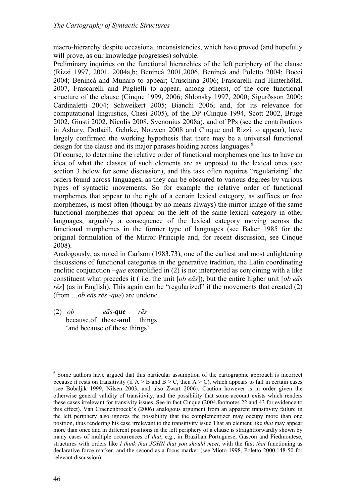macro-hierarchy despite occasional inconsistencies, which have proved (and hopefully will prove, as our knowledge progresses) solvable.

Preliminary inquiries on the functional hierarchies of the left periphery of the clause (Rizzi 1997, 2001, 2004a,b; Benincà 2001,2006, Benincà and Poletto 2004; Bocci 2004; Benincà and Munaro to appear; Cruschina 2006; Frascarelli and Hinterhölzl. 2007, Frascarelli and Puglielli to appear, among others), of the core functional structure of the clause (Cinque 1999, 2006; Shlonsky 1997, 2000; Sigurðsson 2000; Cardinaletti 2004; Schweikert 2005; Bianchi 2006; and, for its relevance for computational linguistics, Chesi 2005), of the DP (Cinque 1994, Scott 2002, Brugè 2002, Giusti 2002, Nicolis 2008, Svenonius 2008a), and of PPs (see the contributions in Asbury, Dotlačil, Gehrke, Nouwen 2008 and Cinque and Rizzi to appear), have largely confirmed the working hypothesis that there may be a universal functional design for the clause and its major phrases holding across languages.<sup>6</sup>

Of course, to determine the relative order of functional morphemes one has to have an idea of what the classes of such elements are as opposed to the lexical ones (see section 3 below for some discussion), and this task often requires "regularizing" the orders found across languages, as they can be obscured to various degrees by various types of syntactic movements. So for example the relative order of functional morphemes that appear to the right of a certain lexical category, as suffixes or free morphemes, is most often (though by no means always) the mirror image of the same functional morphemes that appear on the left of the same lexical category in other languages, arguably a consequence of the lexical category moving across the functional morphemes in the former type of languages (see Baker 1985 for the original formulation of the Mirror Principle and, for recent discussion, see Cinque 2008).

Analogously, as noted in Carlson (1983,73), one of the earliest and most enlightening discussions of functional categories in the generative tradition, the Latin coordinating enclitic conjunction *–que* exemplified in (2) is not interpreted as conjoining with a like constituent what precedes it ( i.e. the unit [*ob eās*]), but the entire higher unit [*ob eās*   $r\bar{e}$ <sup>s</sup>) (as in English). This again can be "regularized" if the movements that created (2) (from *…ob eās rēs -que*) are undone.

(2) *ob eās-que rēs*  because.of these-**and** things 'and because of these things'

<sup>1</sup> <sup>6</sup> Some authors have argued that this particular assumption of the cartographic approach is incorrect because it rests on transitivity (if  $A > B$  and  $B > C$ , then  $A > C$ ), which appears to fail in certain cases (see Bobaljik 1999, Nilsen 2003, and also Zwart 2006). Caution however is in order given the otherwise general validity of transitivity, and the possibility that some account exists which renders these cases irrelevant for transivity issues. See in fact Cinque (2004,footnotes 22 and 43 for evidence to this effect). Van Craenenbroeck's (2006) analogous argument from an apparent transitivity failure in the left periphery also ignores the possibility that the complementizer may occupy more than one position, thus rendering his case irrelevant to the transitivity issue.That an element like *that* may appear more than once and in different positions in the left periphery of a clause is straightforwardly shown by many cases of multiple occurrences of *that*, e.g., in Brazilian Portuguese, Gascon and Piedmontese, structures with orders like *I think that JOHN that you should meet*, with the first *that* functioning as declarative force marker, and the second as a focus marker (see Mioto 1998, Poletto 2000,148-50 for relevant discussion).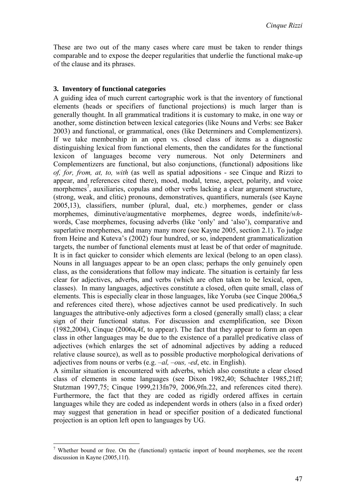These are two out of the many cases where care must be taken to render things comparable and to expose the deeper regularities that underlie the functional make-up of the clause and its phrases.

#### **3. Inventory of functional categories**

A guiding idea of much current cartographic work is that the inventory of functional elements (heads or specifiers of functional projections) is much larger than is generally thought. In all grammatical traditions it is customary to make, in one way or another, some distinction between lexical categories (like Nouns and Verbs: see Baker 2003) and functional, or grammatical, ones (like Determiners and Complementizers). If we take membership in an open vs. closed class of items as a diagnostic distinguishing lexical from functional elements, then the candidates for the functional lexicon of languages become very numerous. Not only Determiners and Complementizers are functional, but also conjunctions, (functional) adpositions like *of, for, from, at, to, with* (as well as spatial adpositions - see Cinque and Rizzi to appear, and references cited there), mood, modal, tense, aspect, polarity, and voice morphemes<sup>7</sup>, auxiliaries, copulas and other verbs lacking a clear argument structure, (strong, weak, and clitic) pronouns, demonstratives, quantifiers, numerals (see Kayne 2005,13), classifiers, number (plural, dual, etc.) morphemes, gender or class morphemes, diminutive/augmentative morphemes, degree words, indefinite/*wh*words, Case morphemes, focusing adverbs (like 'only' and 'also'), comparative and superlative morphemes, and many many more (see Kayne 2005, section 2.1). To judge from Heine and Kuteva's (2002) four hundred, or so, independent grammaticalization targets, the number of functional elements must at least be of that order of magnitude. It is in fact quicker to consider which elements are lexical (belong to an open class). Nouns in all languages appear to be an open class; perhaps the only genuinely open class, as the considerations that follow may indicate. The situation is certainly far less clear for adjectives, adverbs, and verbs (which are often taken to be lexical, open, classes). In many languages, adjectives constitute a closed, often quite small, class of elements. This is especially clear in those languages, like Yoruba (see Cinque 2006a,5 and references cited there), whose adjectives cannot be used predicatively. In such languages the attributive-only adjectives form a closed (generally small) class; a clear sign of their functional status. For discussion and exemplification, see Dixon (1982,2004), Cinque (2006a,4f, to appear). The fact that they appear to form an open class in other languages may be due to the existence of a parallel predicative class of adjectives (which enlarges the set of adnominal adjectives by adding a reduced relative clause source), as well as to possible productive morphological derivations of adjectives from nouns or verbs (e.g. *–al, –ous, -ed*, etc. in English).

A similar situation is encountered with adverbs, which also constitute a clear closed class of elements in some languages (see Dixon 1982,40; Schachter 1985,21ff; Stutzman 1997,75; Cinque 1999,213fn79, 2006,9fn.22, and references cited there). Furthermore, the fact that they are coded as rigidly ordered affixes in certain languages while they are coded as independent words in others (also in a fixed order) may suggest that generation in head or specifier position of a dedicated functional projection is an option left open to languages by UG.

<u>.</u>

<sup>&</sup>lt;sup>7</sup> Whether bound or free. On the (functional) syntactic import of bound morphemes, see the recent discussion in Kayne (2005,11f).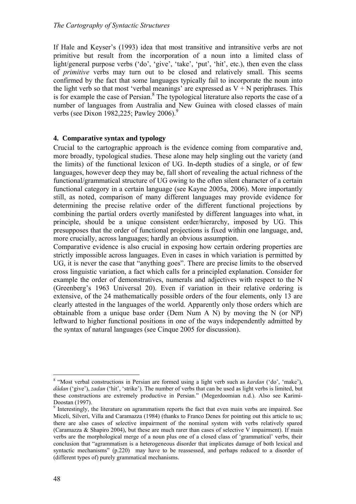If Hale and Keyser's (1993) idea that most transitive and intransitive verbs are not primitive but result from the incorporation of a noun into a limited class of light/general purpose verbs ('do', 'give', 'take', 'put', 'hit', etc.), then even the class of *primitive* verbs may turn out to be closed and relatively small. This seems confirmed by the fact that some languages typically fail to incorporate the noun into the light verb so that most 'verbal meanings' are expressed as  $V + N$  periphrases. This is for example the case of Persian.<sup>8</sup> The typological literature also reports the case of a number of languages from Australia and New Guinea with closed classes of main verbs (see Dixon 1982,225; Pawley 2006).<sup>9</sup>

### **4. Comparative syntax and typology**

Crucial to the cartographic approach is the evidence coming from comparative and, more broadly, typological studies. These alone may help singling out the variety (and the limits) of the functional lexicon of UG. In-depth studies of a single, or of few languages, however deep they may be, fall short of revealing the actual richness of the functional/grammatical structure of UG owing to the often silent character of a certain functional category in a certain language (see Kayne 2005a, 2006). More importantly still, as noted, comparison of many different languages may provide evidence for determining the precise relative order of the different functional projections by combining the partial orders overtly manifested by different languages into what, in principle, should be a unique consistent order/hierarchy, imposed by UG. This presupposes that the order of functional projections is fixed within one language, and, more crucially, across languages; hardly an obvious assumption.

Comparative evidence is also crucial in exposing how certain ordering properties are strictly impossible across languages. Even in cases in which variation is permitted by UG, it is never the case that "anything goes". There are precise limits to the observed cross linguistic variation, a fact which calls for a principled explanation. Consider for example the order of demonstratives, numerals and adjectives with respect to the N (Greenberg's 1963 Universal 20). Even if variation in their relative ordering is extensive, of the 24 mathematically possible orders of the four elements, only 13 are clearly attested in the languages of the world. Apparently only those orders which are obtainable from a unique base order (Dem Num A N) by moving the N (or NP) leftward to higher functional positions in one of the ways independently admitted by the syntax of natural languages (see Cinque 2005 for discussion).

<sup>&</sup>lt;sup>8</sup> "Most verbal constructions in Persian are formed using a light verb such as *kardan* ('do', 'make'), *dâdan* ('give'), *zadan* ('hit', 'strike'). The number of verbs that can be used as light verbs is limited, but these constructions are extremely productive in Persian." (Megerdoomian n.d.). Also see Karimi-Doostan (1997).

<sup>&</sup>lt;sup>9</sup> Interestingly, the literature on agrammatism reports the fact that even main verbs are impaired. See Miceli, Silveri, Villa and Caramazza (1984) (thanks to Franco Denes for pointing out this article to us; there are also cases of selective impairment of the nominal system with verbs relatively spared (Caramazza & Shapiro 2004), but these are much rarer than cases of selective V impairment). If main verbs are the morphological merge of a noun plus one of a closed class of 'grammatical' verbs, their conclusion that "agrammatism is a heterogeneous disorder that implicates damage of both lexical and syntactic mechanisms" (p.220) may have to be reassessed, and perhaps reduced to a disorder of (different types of) purely grammatical mechanisms.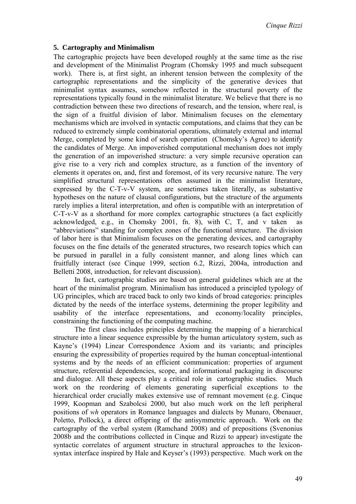#### **5. Cartography and Minimalism**

The cartographic projects have been developed roughly at the same time as the rise and development of the Minimalist Program (Chomsky 1995 and much subsequent work). There is, at first sight, an inherent tension between the complexity of the cartographic representations and the simplicity of the generative devices that minimalist syntax assumes, somehow reflected in the structural poverty of the representations typically found in the minimalist literature. We believe that there is no contradiction between these two directions of research, and the tension, where real, is the sign of a fruitful division of labor. Minimalism focuses on the elementary mechanisms which are involved in syntactic computations, and claims that they can be reduced to extremely simple combinatorial operations, ultimately external and internal Merge, completed by some kind of search operation (Chomsky's Agree) to identify the candidates of Merge. An impoverished computational mechanism does not imply the generation of an impoverished structure: a very simple recursive operation can give rise to a very rich and complex structure, as a function of the inventory of elements it operates on, and, first and foremost, of its very recursive nature. The very simplified structural representations often assumed in the minimalist literature, expressed by the C-T-v-V system, are sometimes taken literally, as substantive hypotheses on the nature of clausal configurations, but the structure of the arguments rarely implies a literal interpretation, and often is compatible with an interpretation of C-T-v-V as a shorthand for more complex cartographic structures (a fact explicitly acknowledged, e.g., in Chomsky 2001, fn. 8), with C, T, and v taken as "abbreviations" standing for complex zones of the functional structure. The division of labor here is that Minimalism focuses on the generating devices, and cartography focuses on the fine details of the generated structures, two research topics which can be pursued in parallel in a fully consistent manner, and along lines which can fruitfully interact (see Cinque 1999, section 6.2, Rizzi, 2004a, introduction and Belletti 2008, introduction, for relevant discussion).

In fact, cartographic studies are based on general guidelines which are at the heart of the minimalist program. Minimalism has introduced a principled typology of UG principles, which are traced back to only two kinds of broad categories: principles dictated by the needs of the interface systems, determining the proper legibility and usability of the interface representations, and economy/locality principles, constraining the functioning of the computing machine.

The first class includes principles determining the mapping of a hierarchical structure into a linear sequence expressible by the human articulatory system, such as Kayne's (1994) Linear Correspondence Axiom and its variants; and principles ensuring the expressibility of properties required by the human conceptual-intentional systems and by the needs of an efficient communication: properties of argument structure, referential dependencies, scope, and informational packaging in discourse and dialogue. All these aspects play a critical role in cartographic studies. Much work on the reordering of elements generating superficial exceptions to the hierarchical order crucially makes extensive use of remnant movement (e.g. Cinque 1999, Koopman and Szabolcsi 2000, but also much work on the left peripheral positions of *wh* operators in Romance languages and dialects by Munaro, Obenauer, Poletto, Pollock), a direct offspring of the antisymmetric approach. Work on the cartography of the verbal system (Ramchand 2008) and of prepositions (Svenonius 2008b and the contributions collected in Cinque and Rizzi to appear) investigate the syntactic correlates of argument structure in structural approaches to the lexiconsyntax interface inspired by Hale and Keyser's (1993) perspective. Much work on the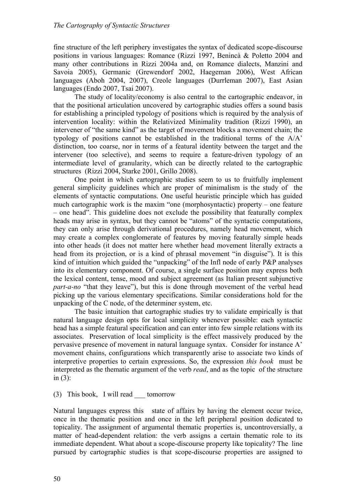fine structure of the left periphery investigates the syntax of dedicated scope-discourse positions in various languages: Romance (Rizzi 1997, Benincà & Poletto 2004 and many other contributions in Rizzi 2004a and, on Romance dialects, Manzini and Savoia 2005), Germanic (Grewendorf 2002, Haegeman 2006), West African languages (Aboh 2004, 2007), Creole languages (Durrleman 2007), East Asian languages (Endo 2007, Tsai 2007).

 The study of locality/economy is also central to the cartographic endeavor, in that the positional articulation uncovered by cartographic studies offers a sound basis for establishing a principled typology of positions which is required by the analysis of intervention locality: within the Relativized Minimality tradition (Rizzi 1990), an intervener of "the same kind" as the target of movement blocks a movement chain; the typology of positions cannot be established in the traditional terms of the A/A' distinction, too coarse, nor in terms of a featural identity between the target and the intervener (too selective), and seems to require a feature-driven typology of an intermediate level of granularity, which can be directly related to the cartographic structures (Rizzi 2004, Starke 2001, Grillo 2008).

One point in which cartographic studies seem to us to fruitfully implement general simplicity guidelines which are proper of minimalism is the study of the elements of syntactic computations. One useful heuristic principle which has guided much cartographic work is the maxim "one (morphosyntactic) property – one feature – one head". This guideline does not exclude the possibility that featurally complex heads may arise in syntax, but they cannot be "atoms" of the syntactic computations, they can only arise through derivational procedures, namely head movement, which may create a complex conglomerate of features by moving featurally simple heads into other heads (it does not matter here whether head movement literally extracts a head from its projection, or is a kind of phrasal movement "in disguise"). It is this kind of intuition which guided the "unpacking" of the Infl node of early P&P analyses into its elementary component. Of course, a single surface position may express both the lexical content, tense, mood and subject agreement (as Italian present subjunctive *part-a-no* "that they leave"), but this is done through movement of the verbal head picking up the various elementary specifications. Similar considerations hold for the unpacking of the C node, of the determiner system, etc.

The basic intuition that cartographic studies try to validate empirically is that natural language design opts for local simplicity whenever possible: each syntactic head has a simple featural specification and can enter into few simple relations with its associates. Preservation of local simplicity is the effect massively produced by the pervasive presence of movement in natural language syntax. Consider for instance A' movement chains, configurations which transparently arise to associate two kinds of interpretive properties to certain expressions. So, the expression *this book* must be interpreted as the thematic argument of the verb *read*, and as the topic of the structure in (3):

## (3) This book, I will read tomorrow

Natural languages express this state of affairs by having the element occur twice, once in the thematic position and once in the left peripheral position dedicated to topicality. The assignment of argumental thematic properties is, uncontroversially, a matter of head-dependent relation: the verb assigns a certain thematic role to its immediate dependent. What about a scope-discourse property like topicality? The line pursued by cartographic studies is that scope-discourse properties are assigned to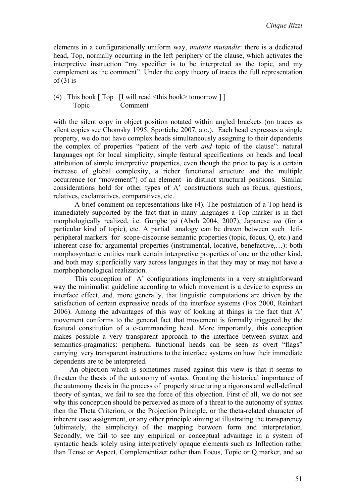elements in a configurationally uniform way, *mutatis mutandis*: there is a dedicated head, Top, normally occurring in the left periphery of the clause, which activates the interpretive instruction "my specifier is to be interpreted as the topic, and my complement as the comment". Under the copy theory of traces the full representation of  $(3)$  is

(4) This book  $\lceil$  Top  $\lceil$  I will read  $\leq$  this book  $\geq$  tomorrow  $\lceil$   $\rceil$ Topic Comment

with the silent copy in object position notated within angled brackets (on traces as silent copies see Chomsky 1995, Sportiche 2007, a.o.). Each head expresses a single property, we do not have complex heads simultaneously assigning to their dependents the complex of properties "patient of the verb *and* topic of the clause": natural languages opt for local simplicity, simple featural specifications on heads and local attribution of simple interpretive properties, even though the price to pay is a certain increase of global complexity, a richer functional structure and the multiple occurrence (or "movement") of an element in distinct structural positions. Similar considerations hold for other types of A' constructions such as focus, questions, relatives, exclamatives, comparatives, etc.

A brief comment on representations like (4). The postulation of a Top head is immediately supported by the fact that in many languages a Top marker is in fact morphologically realized, i.e. Gungbe *yà* (Aboh 2004, 2007), Japanese *wa* (for a particular kind of topic), etc. A partial analogy can be drawn between such leftperipheral markers for scope-discourse semantic properties (topic, focus, Q, etc.) and inherent case for argumental properties (instrumental, locative, benefactive,…): both morphosyntactic entities mark certain interpretive properties of one or the other kind, and both may superficially vary across languages in that they may or may not have a morphophonological realization.

This conception of A' configurations implements in a very straightforward way the minimalist guideline according to which movement is a device to express an interface effect, and, more generally, that linguistic computations are driven by the satisfaction of certain expressive needs of the interface systems (Fox 2000, Reinhart 2006). Among the advantages of this way of looking at things is the fact that A' movement conforms to the general fact that movement is formally triggered by the featural constitution of a c-commanding head. More importantly, this conception makes possible a very transparent approach to the interface between syntax and semantics-pragmatics: peripheral functional heads can be seen as overt "flags" carrying very transparent instructions to the interface systems on how their immediate dependents are to be interpreted.

An objection which is sometimes raised against this view is that it seems to threaten the thesis of the autonomy of syntax. Granting the historical importance of the autonomy thesis in the process of properly structuring a rigorous and well-defined theory of syntax, we fail to see the force of this objection. First of all, we do not see why this conception should be perceived as more of a threat to the autonomy of syntax then the Theta Criterion, or the Projection Principle, or the theta-related character of inherent case assignment, or any other principle aiming at illustrating the transparency (ultimately, the simplicity) of the mapping between form and interpretation. Secondly, we fail to see any empirical or conceptual advantage in a system of syntactic heads solely using interpretively opaque elements such as Inflection rather than Tense or Aspect, Complementizer rather than Focus, Topic or Q marker, and so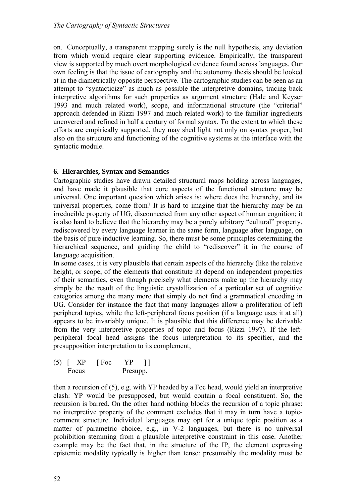on. Conceptually, a transparent mapping surely is the null hypothesis, any deviation from which would require clear supporting evidence. Empirically, the transparent view is supported by much overt morphological evidence found across languages. Our own feeling is that the issue of cartography and the autonomy thesis should be looked at in the diametrically opposite perspective. The cartographic studies can be seen as an attempt to "syntacticize" as much as possible the interpretive domains, tracing back interpretive algorithms for such properties as argument structure (Hale and Keyser 1993 and much related work), scope, and informational structure (the "criterial" approach defended in Rizzi 1997 and much related work) to the familiar ingredients uncovered and refined in half a century of formal syntax. To the extent to which these efforts are empirically supported, they may shed light not only on syntax proper, but also on the structure and functioning of the cognitive systems at the interface with the syntactic module.

## **6. Hierarchies, Syntax and Semantics**

Cartographic studies have drawn detailed structural maps holding across languages, and have made it plausible that core aspects of the functional structure may be universal. One important question which arises is: where does the hierarchy, and its universal properties, come from? It is hard to imagine that the hierarchy may be an irreducible property of UG, disconnected from any other aspect of human cognition; it is also hard to believe that the hierarchy may be a purely arbitrary "cultural" property, rediscovered by every language learner in the same form, language after language, on the basis of pure inductive learning. So, there must be some principles determining the hierarchical sequence, and guiding the child to "rediscover" it in the course of language acquisition.

In some cases, it is very plausible that certain aspects of the hierarchy (like the relative height, or scope, of the elements that constitute it) depend on independent properties of their semantics, even though precisely what elements make up the hierarchy may simply be the result of the linguistic crystallization of a particular set of cognitive categories among the many more that simply do not find a grammatical encoding in UG. Consider for instance the fact that many languages allow a proliferation of left peripheral topics, while the left-peripheral focus position (if a language uses it at all) appears to be invariably unique. It is plausible that this difference may be derivable from the very interpretive properties of topic and focus (Rizzi 1997). If the leftperipheral focal head assigns the focus interpretation to its specifier, and the presupposition interpretation to its complement,

(5) [ XP [ Foc YP ] ] Focus Presupp.

then a recursion of (5), e.g. with YP headed by a Foc head, would yield an interpretive clash: YP would be presupposed, but would contain a focal constituent. So, the recursion is barred. On the other hand nothing blocks the recursion of a topic phrase: no interpretive property of the comment excludes that it may in turn have a topiccomment structure. Individual languages may opt for a unique topic position as a matter of parametric choice, e.g., in V-2 languages, but there is no universal prohibition stemming from a plausible interpretive constraint in this case. Another example may be the fact that, in the structure of the IP, the element expressing epistemic modality typically is higher than tense: presumably the modality must be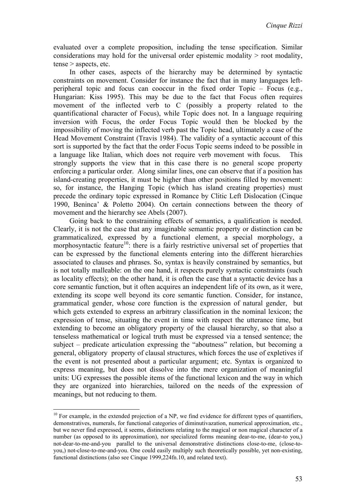evaluated over a complete proposition, including the tense specification. Similar considerations may hold for the universal order epistemic modality > root modality, tense > aspects, etc.

In other cases, aspects of the hierarchy may be determined by syntactic constraints on movement. Consider for instance the fact that in many languages leftperipheral topic and focus can cooccur in the fixed order Topic – Focus (e.g., Hungarian: Kiss 1995). This may be due to the fact that Focus often requires movement of the inflected verb to C (possibly a property related to the quantificational character of Focus), while Topic does not. In a language requiring inversion with Focus, the order Focus Topic would then be blocked by the impossibility of moving the inflected verb past the Topic head, ultimately a case of the Head Movement Constraint (Travis 1984). The validity of a syntactic account of this sort is supported by the fact that the order Focus Topic seems indeed to be possible in a language like Italian, which does not require verb movement with focus. This strongly supports the view that in this case there is no general scope property enforcing a particular order. Along similar lines, one can observe that if a position has island-creating properties, it must be higher than other positions filled by movement: so, for instance, the Hanging Topic (which has island creating properties) must precede the ordinary topic expressed in Romance by Clitic Left Dislocation (Cinque 1990, Beninca' & Poletto 2004). On certain connections between the theory of movement and the hierarchy see Abels (2007).

Going back to the constraining effects of semantics, a qualification is needed. Clearly, it is not the case that any imaginable semantic property or distinction can be grammaticalized, expressed by a functional element, a special morphology, a morphosyntactic feature<sup>10</sup>: there is a fairly restrictive universal set of properties that can be expressed by the functional elements entering into the different hierarchies associated to clauses and phrases. So, syntax is heavily constrained by semantics, but is not totally malleable: on the one hand, it respects purely syntactic constraints (such as locality effects); on the other hand, it is often the case that a syntactic device has a core semantic function, but it often acquires an independent life of its own, as it were, extending its scope well beyond its core semantic function. Consider, for instance, grammatical gender, whose core function is the expression of natural gender, but which gets extended to express an arbitrary classification in the nominal lexicon; the expression of tense, situating the event in time with respect the utterance time, but extending to become an obligatory property of the clausal hierarchy, so that also a tenseless mathematical or logical truth must be expressed via a tensed sentence; the subject – predicate articulation expressing the "aboutness" relation, but becoming a general, obligatory property of clausal structures, which forces the use of expletives if the event is not presented about a particular argument; etc. Syntax is organized to express meaning, but does not dissolve into the mere organization of meaningful units: UG expresses the possible items of the functional lexicon and the way in which they are organized into hierarchies, tailored on the needs of the expression of meanings, but not reducing to them.

 $10$  For example, in the extended projection of a NP, we find evidence for different types of quantifiers, demonstratives, numerals, for functional categories of diminutivazation, numerical approximation, etc., but we never find expressed, it seems, distinctions relating to the magical or non magical character of a number (as opposed to its approximation), nor specialized forms meaning dear-to-me, (dear-to you,) not-dear-to-me-and-you parallel to the universal demonstrative distinctions close-to-me, (close-toyou,) not-close-to-me-and-you. One could easily multiply such theoretically possible, yet non-existing, functional distinctions (also see Cinque 1999,224fn.10, and related text).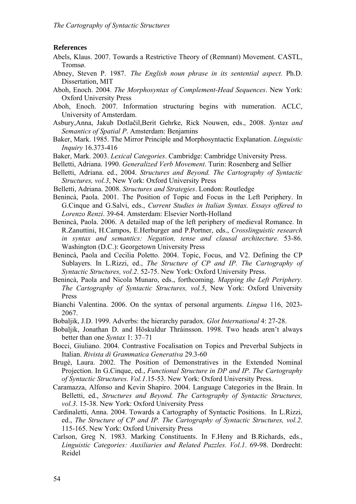#### **References**

- Abels, Klaus. 2007. Towards a Restrictive Theory of (Remnant) Movement. CASTL, Tromsø.
- Abney, Steven P. 1987. *The English noun phrase in its sentential aspect*. Ph.D. Dissertation, MIT
- Aboh, Enoch. 2004. *The Morphosyntax of Complement-Head Sequences*. New York: Oxford University Press
- Aboh, Enoch. 2007. Information structuring begins with numeration. ACLC, University of Amsterdam.
- Asbury,Anna, Jakub Dotlačil,Berit Gehrke, Rick Nouwen, eds., 2008. *Syntax and Semantics of Spatial P*. Amsterdam: Benjamins
- Baker, Mark. 1985. The Mirror Principle and Morphosyntactic Explanation. *Linguistic Inquiry* 16.373-416
- Baker, Mark. 2003. *Lexical Categories*. Cambridge: Cambridge University Press.
- Belletti, Adriana. 1990. *Generalized Verb Movement*. Turin: Rosenberg and Sellier
- Belletti, Adriana. ed., 2004. *Structures and Beyond. The Cartography of Syntactic Structures, vol.3*, New York: Oxford University Press
- Belletti, Adriana. 2008. *Structures and Strategies*. London: Routledge
- Benincà, Paola. 2001. The Position of Topic and Focus in the Left Periphery. In G.Cinque and G.Salvi, eds., *Current Studies in Italian Syntax. Essays offered to Lorenzo Renzi*. 39-64. Amsterdam: Elsevier North-Holland
- Benincà, Paola. 2006. A detailed map of the left periphery of medieval Romance. In R.Zanuttini, H.Campos, E.Herburger and P.Portner, eds., *Crosslinguistic research in syntax and semantics: Negation, tense and clausal architecture.* 53-86. Washington (D.C.): Georgetown University Press
- Benincà, Paola and Cecilia Poletto. 2004. Topic, Focus, and V2. Defining the CP Sublayers. In L.Rizzi, ed., *The Structure of CP and IP. The Cartography of Syntactic Structures, vol.2*. 52-75. New York: Oxford University Press.
- Benincà, Paola and Nicola Munaro, eds., forthcoming. *Mapping the Left Periphery. The Cartography of Syntactic Structures, vol.5*, New York: Oxford University Press
- Bianchi Valentina. 2006. On the syntax of personal arguments. *Lingua* 116, 2023- 2067.
- Bobaljik, J.D. 1999. Adverbs: the hierarchy paradox. *Glot International* 4: 27-28.
- Bobaljik, Jonathan D. and Höskuldur Thráinsson. 1998. Two heads aren't always better than one *Syntax* 1: 37–71
- Bocci, Giuliano. 2004. Contrastive Focalisation on Topics and Preverbal Subjects in Italian. *Rivista di Grammatica Generativa* 29.3-60
- Brugè, Laura. 2002. The Position of Demonstratives in the Extended Nominal Projection. In G.Cinque, ed., *Functional Structure in DP and IP. The Cartography of Syntactic Structures. Vol.1*.15-53. New York: Oxford University Press.
- Caramazza, Alfonso and Kevin Shapiro. 2004. Language Categories in the Brain. In Belletti, ed., *Structures and Beyond. The Cartography of Syntactic Structures, vol.3*. 15-38. New York: Oxford University Press
- Cardinaletti, Anna. 2004. Towards a Cartography of Syntactic Positions. In L.Rizzi, ed., *The Structure of CP and IP. The Cartography of Syntactic Structures, vol.2*. 115-165. New York: Oxford University Press
- Carlson, Greg N. 1983. Marking Constituents. In F.Heny and B.Richards, eds., *Linguistic Categories: Auxiliaries and Related Puzzles. Vol.1*. 69-98. Dordrecht: Reidel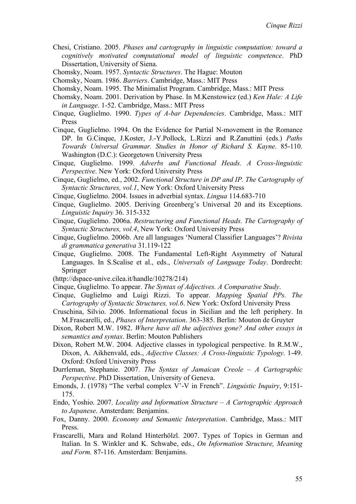- Chesi, Cristiano. 2005. *Phases and cartography in linguistic computation: toward a cognitively motivated computational model of linguistic competence*. PhD Dissertation, University of Siena.
- Chomsky, Noam. 1957. *Syntactic Structures*. The Hague: Mouton
- Chomsky, Noam. 1986. *Barriers*. Cambridge, Mass.: MIT Press
- Chomsky, Noam. 1995. The Minimalist Program. Cambridge, Mass.: MIT Press
- Chomsky, Noam. 2001. Derivation by Phase. In M.Kenstowicz (ed.) *Ken Hale: A Life in Language*. 1-52. Cambridge, Mass.: MIT Press
- Cinque, Guglielmo. 1990. *Types of A-bar Dependencies*. Cambridge, Mass.: MIT Press
- Cinque, Guglielmo. 1994. On the Evidence for Partial N-movement in the Romance DP. In G.Cinque, J.Koster, J.-Y.Pollock, L.Rizzi and R.Zanuttini (eds.) *Paths Towards Universal Grammar. Studies in Honor of Richard S. Kayne*. 85-110. Washington (D.C.): Georgetown University Press
- Cinque, Guglielmo. 1999. *Adverbs and Functional Heads. A Cross-linguistic Perspective*. New York: Oxford University Press
- Cinque, Guglielmo, ed., 2002. *Functional Structure in DP and IP. The Cartography of Syntactic Structures, vol.1*, New York: Oxford University Press
- Cinque, Guglielmo. 2004. Issues in adverbial syntax. *Lingua* 114.683-710
- Cinque, Guglielmo. 2005. Deriving Greenberg's Universal 20 and its Exceptions. *Linguistic Inquiry* 36. 315-332
- Cinque, Guglielmo. 2006a. *Restructuring and Functional Heads. The Cartography of Syntactic Structures, vol.4*, New York: Oxford University Press
- Cinque, Guglielmo. 2006b. Are all languages 'Numeral Classifier Languages'? *Rivista di grammatica generativa* 31.119-122
- Cinque, Guglielmo. 2008. The Fundamental Left-Right Asymmetry of Natural Languages. In S.Scalise et al., eds., *Universals of Language Today*. Dordrecht: Springer
- (http://dspace-unive.cilea.it/handle/10278/214)
- Cinque, Guglielmo. To appear. *The Syntax of Adjectives. A Comparative Study*.
- Cinque, Guglielmo and Luigi Rizzi. To appear. *Mapping Spatial PPs. The Cartography of Syntactic Structures, vol.6*. New York: Oxford University Press
- Cruschina, Silvio. 2006. Informational focus in Sicilian and the left periphery. In M.Frascarelli, ed., *Phases of Interpretation*. 363-385. Berlin: Mouton de Gruyter
- Dixon, Robert M.W. 1982. *Where have all the adjectives gone? And other essays in semantics and syntax*. Berlin: Mouton Publishers
- Dixon, Robert M.W. 2004. Adjective classes in typological perspective. In R.M.W., Dixon, A. Aikhenvald, eds., *Adjective Classes: A Cross-linguistic Typology*. 1-49. Oxford: Oxford University Press
- Durrleman, Stephanie. 2007. *The Syntax of Jamaican Creole A Cartographic Perspective*. PhD Dissertation, University of Geneva.
- Emonds, J. (1978) "The verbal complex V'-V in French". *Linguistic Inquiry*, 9:151- 175.
- Endo, Yoshio. 2007. *Locality and Information Structure A Cartographic Approach to Japanese*. Amsterdam: Benjamins.
- Fox, Danny. 2000. *Economy and Semantic Interpretation*. Cambridge, Mass.: MIT Press.
- Frascarelli, Mara and Roland Hinterhölzl. 2007. Types of Topics in German and Italian. In S. Winkler and K. Schwabe, eds., *On Information Structure, Meaning and Form.* 87-116. Amsterdam: Benjamins.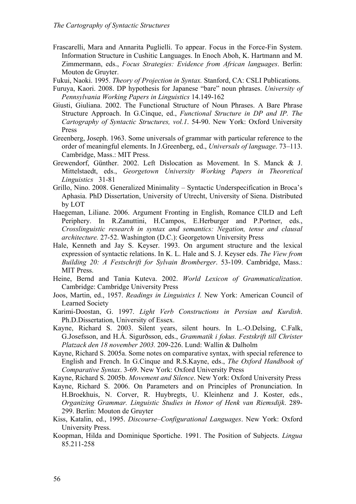- Frascarelli, Mara and Annarita Puglielli. To appear. Focus in the Force-Fin System. Information Structure in Cushitic Languages. In Enoch Aboh, K. Hartmann and M. Zimmermann, eds., *Focus Strategies: Evidence from African languages*. Berlin: Mouton de Gruyter.
- Fukui, Naoki. 1995. *Theory of Projection in Syntax.* Stanford, CA: CSLI Publications.
- Furuya, Kaori. 2008. DP hypothesis for Japanese "bare" noun phrases. *University of Pennsylvania Working Papers in Linguistics* 14.149-162
- Giusti, Giuliana. 2002. The Functional Structure of Noun Phrases. A Bare Phrase Structure Approach. In G.Cinque, ed., *Functional Structure in DP and IP. The Cartography of Syntactic Structures, vol.1*. 54-90. New York: Oxford University Press
- Greenberg, Joseph. 1963. Some universals of grammar with particular reference to the order of meaningful elements. In J.Greenberg, ed., *Universals of language*. 73–113. Cambridge, Mass.: MIT Press.
- Grewendorf, Günther. 2002. Left Dislocation as Movement. In S. Manck & J. Mittelstaedt, eds., *Georgetown University Working Papers in Theoretical Linguistics* 31-81
- Grillo, Nino. 2008. Generalized Minimality Syntactic Underspecification in Broca's Aphasia. PhD Dissertation, University of Utrecht, University of Siena. Distributed by LOT
- Haegeman, Liliane. 2006. Argument Fronting in English, Romance ClLD and Left Periphery. In R.Zanuttini, H.Campos, E.Herburger and P.Portner, eds., *Crosslinguistic research in syntax and semantics: Negation, tense and clausal architecture.* 27-52. Washington (D.C.): Georgetown University Press
- Hale, Kenneth and Jay S. Keyser. 1993. On argument structure and the lexical expression of syntactic relations. In K. L. Hale and S. J. Keyser eds. *The View from Building 20: A Festschrift for Sylvain Bromberger*. 53-109. Cambridge, Mass.: MIT Press.
- Heine, Bernd and Tania Kuteva. 2002. *World Lexicon of Grammaticalization*. Cambridge: Cambridge University Press
- Joos, Martin, ed., 1957. *Readings in Linguistics I.* New York: American Council of Learned Society
- Karimi-Doostan, G. 1997. *Light Verb Constructions in Persian and Kurdish*. Ph.D.Dissertation, University of Essex.
- Kayne, Richard S. 2003. Silent years, silent hours. In L.-O.Delsing, C.Falk, G.Josefsson, and H.Á. Sigurðsson, eds., *Grammatik i fokus. Festskrift till Christer Platzack den 18 november 2003.* 209-226. Lund: Wallin & Dalholm
- Kayne, Richard S. 2005a. Some notes on comparative syntax, with special reference to English and French. In G.Cinque and R.S.Kayne, eds., *The Oxford Handbook of Comparative Syntax*. 3-69. New York: Oxford University Press

Kayne, Richard S. 2005b. *Movement and Silence*. New York: Oxford University Press

- Kayne, Richard S. 2006. On Parameters and on Principles of Pronunciation. In H.Broekhuis, N. Corver, R. Huybregts, U. Kleinhenz and J. Koster, eds., *Organizing Grammar. Linguistic Studies in Honor of Henk van Riemsdijk*. 289- 299. Berlin: Mouton de Gruyter
- Kiss, Katalin, ed., 1995. *Discourse–Configurational Languages*. New York: Oxford University Press.
- Koopman, Hilda and Dominique Sportiche. 1991. The Position of Subjects. *Lingua* 85.211-258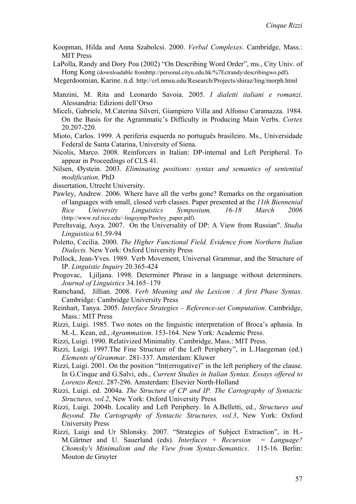- Koopman, Hilda and Anna Szabolcsi. 2000. *Verbal Complexes*. Cambridge, Mass.: MIT Press
- LaPolla, Randy and Dory Poa (2002) "On Describing Word Order", ms., City Univ. of Hong Kong (downloadable fromhttp://personal.cityu.edu.hk/%7Ectrandy/describingwo.pdf).

Megerdoomian, Karine. n.d. http://crl.nmsu.edu/Research/Projects/shiraz/ling/morph.html

- Manzini, M. Rita and Leonardo Savoia. 2005. *I dialetti italiani e romanzi*. Alessandria: Edizioni dell'Orso
- Miceli, Gabriele, M.Caterina Silveri, Giampiero Villa and Alfonso Caramazza. 1984. On the Basis for the Agrammatic's Difficulty in Producing Main Verbs. *Cortex* 20.207-220.
- Mioto, Carlos. 1999. A periferia esquerda no português brasileiro. Ms., Universidade Federal de Santa Catarina, University of Siena.
- Nicolis, Marco. 2008. Reinforcers in Italian: DP-internal and Left Peripheral. To appear in Proceedings of CLS 41.
- Nilsen, Øystein. 2003. *Eliminating positions: syntax and semantics of sentential modification*. PhD
- dissertation, Utrecht University.
- Pawley, Andrew. 2006. Where have all the verbs gone? Remarks on the organisation of languages with small, closed verb classes. Paper presented at the *11th Biennenial Rice University Linguistics Symposium, 16-18 March 2006* (http://www.ruf.rice.edu/~lingsymp/Pawley\_paper.pdf).
- Pereltsvaig, Asya. 2007. On the Universality of DP: A View from Russian". *Studia Linguistica* 61.59-94
- Poletto, Cecilia. 2000. *The Higher Functional Field. Evidence from Northern Italian Dialects.* New York: Oxford University Press
- Pollock, Jean-Yves. 1989. Verb Movement, Universal Grammar, and the Structure of IP. *Linguistic Inquiry* 20.365-424
- Progovac, Ljiljana. 1998. Determiner Phrase in a language without determiners. *Journal of Linguistics* 34.165–179
- Ramchand, Jillian. 2008. *Verb Meaning and the Lexicon : A first Phase Syntax*. Cambridge: Cambridge University Press
- Reinhart, Tanya. 2005. *Interface Strategies Reference-set Computation*. Cambridge, Mass.: MIT Press
- Rizzi, Luigi. 1985. Two notes on the linguistic interpretation of Broca's aphasia. In M.-L. Kean, ed., *Agrammatism*. 153-164. New York: Academic Press.
- Rizzi, Luigi. 1990. Relativized Minimality. Cambridge, Mass.: MIT Press.
- Rizzi, Luigi. 1997.The Fine Structure of the Left Periphery", in L.Haegeman (ed.) *Elements of Grammar*. 281-337. Amsterdam: Kluwer
- Rizzi, Luigi. 2001. On the position "Int(errogative)" in the left periphery of the clause. In G.Cinque and G.Salvi, eds., *Current Studies in Italian Syntax. Essays offered to Lorenzo Renzi*. 287-296. Amsterdam: Elsevier North-Holland
- Rizzi, Luigi. ed. 2004a. *The Structure of CP and IP. The Cartography of Syntactic Structures, vol.2*, New York: Oxford University Press
- Rizzi, Luigi. 2004b. Locality and Left Periphery. In A.Belletti, ed., *Structures and Beyond. The Cartography of Syntactic Structures, vol.3*, New York: Oxford University Press
- Rizzi, Luigi and Ur Shlonsky. 2007. "Strategies of Subject Extraction", in H.- M.Gärtner and U. Sauerland (eds). *Interfaces + Recursion = Language? Chomsky's Minimalism and the View from Syntax-Semantics*. 115-16. Berlin: Mouton de Gruyter